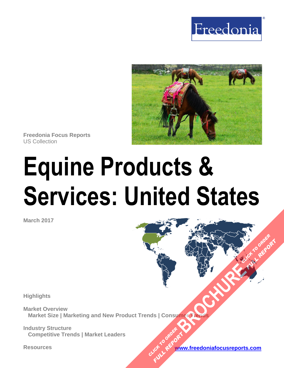



**Freedonia Focus Reports** US Collection

# **Equine Products & Services: United States**

**March 2017**

**Highlights**

**Market Overview Market Size | Marketing and New Product Trends | Consumer Trends [BROCHURE](https://www.freedoniafocusreports.com/Equine-Products-Services-United-States-10829523/?progid=89541) CLICK TO ORDER** 

**Industry Structure Competitive Trends | Market Leaders**

**Resources [www.freedoniafocusreports.com](https://www.freedoniafocusreports.com/redirect.asp?progid=89541&url=/)** CLICK TO ORDER **FULL REPORT** 

**FULL REPORT**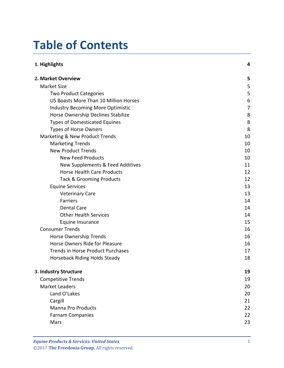# **Table of Contents**

| 1. Highlights                            |    |
|------------------------------------------|----|
| 2. Market Overview                       | 5  |
| <b>Market Size</b>                       | 5  |
| <b>Two Product Categories</b>            | 5  |
| US Boasts More Than 10 Million Horses    | 6  |
| <b>Industry Becoming More Optimistic</b> | 7  |
| Horse Ownership Declines Stabilize       | 8  |
| <b>Types of Domesticated Equines</b>     | 8  |
| <b>Types of Horse Owners</b>             | 8  |
| Marketing & New Product Trends           | 10 |
| <b>Marketing Trends</b>                  | 10 |
| <b>New Product Trends</b>                | 10 |
| <b>New Feed Products</b>                 | 10 |
| New Supplements & Feed Additives         | 11 |
| <b>Horse Health Care Products</b>        | 12 |
| <b>Tack &amp; Grooming Products</b>      | 12 |
| <b>Equine Services</b>                   | 13 |
| <b>Veterinary Care</b>                   | 13 |
| <b>Farriers</b>                          | 14 |
| <b>Dental Care</b>                       | 14 |
| <b>Other Health Services</b>             | 14 |
| Equine Insurance                         | 15 |
| <b>Consumer Trends</b>                   | 16 |
| Horse Ownership Trends                   | 16 |
| Horse Owners Ride for Pleasure           | 16 |
| <b>Trends in Horse Product Purchases</b> | 17 |
| Horseback Riding Holds Steady            | 18 |
| 3. Industry Structure                    | 19 |
| <b>Competitive Trends</b>                | 19 |
| <b>Market Leaders</b>                    | 20 |
| Land O'Lakes                             | 20 |
| Cargill                                  | 21 |
| <b>Manna Pro Products</b>                | 22 |
| <b>Farnam Companies</b>                  | 22 |
| Mars                                     | 23 |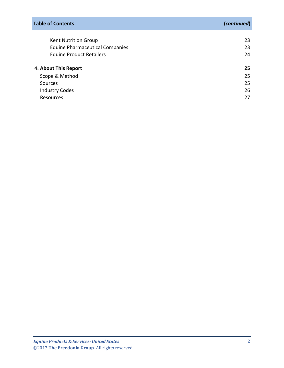| <b>Table of Contents</b>               | (continued) |
|----------------------------------------|-------------|
|                                        |             |
| <b>Kent Nutrition Group</b>            | 23          |
| <b>Equine Pharmaceutical Companies</b> | 23          |
| <b>Equine Product Retailers</b>        | 24          |
| 4. About This Report                   | 25          |
| Scope & Method                         | 25          |
| Sources                                | 25          |
| <b>Industry Codes</b>                  | 26          |
| Resources                              | 27          |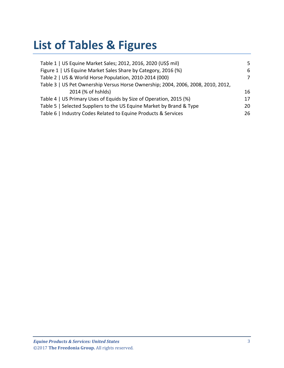# **List of Tables & Figures**

| Table 1   US Equine Market Sales; 2012, 2016, 2020 (US\$ mil)                    | 5. |
|----------------------------------------------------------------------------------|----|
| Figure 1   US Equine Market Sales Share by Category, 2016 (%)                    | 6  |
| Table 2   US & World Horse Population, 2010-2014 (000)                           | 7  |
| Table 3   US Pet Ownership Versus Horse Ownership; 2004, 2006, 2008, 2010, 2012, |    |
| 2014 (% of hshids)                                                               | 16 |
| Table 4   US Primary Uses of Equids by Size of Operation, 2015 (%)               | 17 |
| Table 5   Selected Suppliers to the US Equine Market by Brand & Type             | 20 |
| Table 6   Industry Codes Related to Equine Products & Services                   | 26 |
|                                                                                  |    |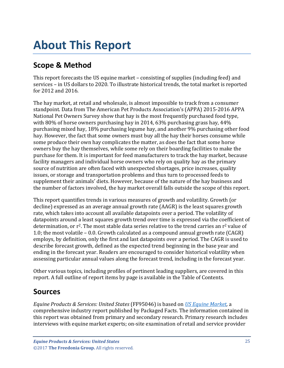# <span id="page-4-0"></span>**About This Report**

# <span id="page-4-1"></span>**Scope & Method**

This report forecasts the US equine market – consisting of supplies (including feed) and services – in US dollars to 2020. To illustrate historical trends, the total market is reported for 2012 and 2016.

The hay market, at retail and wholesale, is almost impossible to track from a consumer standpoint. Data from The American Pet Products Association's (APPA) 2015-2016 APPA National Pet Owners Survey show that hay is the most frequently purchased food type, with 80% of horse owners purchasing hay in 2014, 63% purchasing grass hay, 44% purchasing mixed hay, 18% purchasing legume hay, and another 9% purchasing other food hay. However, the fact that some owners must buy all the hay their horses consume while some produce their own hay complicates the matter, as does the fact that some horse owners buy the hay themselves, while some rely on their boarding facilities to make the purchase for them. It is important for feed manufacturers to track the hay market, because facility managers and individual horse owners who rely on quality hay as the primary source of nutrition are often faced with unexpected shortages, price increases, quality issues, or storage and transportation problems and thus turn to processed feeds to supplement their animals' diets. However, because of the nature of the hay business and the number of factors involved, the hay market overall falls outside the scope of this report.

This report quantifies trends in various measures of growth and volatility. Growth (or decline) expressed as an average annual growth rate (AAGR) is the least squares growth rate, which takes into account all available datapoints over a period. The volatility of datapoints around a least squares growth trend over time is expressed via the coefficient of determination, or  $r^2$ . The most stable data series relative to the trend carries an  $r^2$  value of 1.0; the most volatile – 0.0. Growth calculated as a compound annual growth rate (CAGR) employs, by definition, only the first and last datapoints over a period. The CAGR is used to describe forecast growth, defined as the expected trend beginning in the base year and ending in the forecast year. Readers are encouraged to consider historical volatility when assessing particular annual values along the forecast trend, including in the forecast year.

Other various topics, including profiles of pertinent leading suppliers, are covered in this report. A full outline of report items by page is available in the Table of Contents.

# <span id="page-4-2"></span>**Sources**

*Equine Products & Services: United States* (FF95046) is based on *[US Equine Market,](https://www.packagedfacts.com/Equine-Edition-10706833/)* a comprehensive industry report published by Packaged Facts. The information contained in this report was obtained from primary and secondary research. Primary research includes interviews with equine market experts; on-site examination of retail and service provider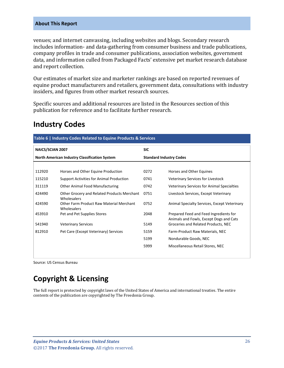#### **About This Report**

venues; and internet canvassing, including websites and blogs. Secondary research includes information- and data-gathering from consumer business and trade publications, company profiles in trade and consumer publications, association websites, government data, and information culled from Packaged Facts' extensive pet market research database and report collection.

Our estimates of market size and marketer rankings are based on reported revenues of equine product manufacturers and retailers, government data, consultations with industry insiders, and figures from other market research sources.

Specific sources and additional resources are listed in the Resources section of this publication for reference and to facilitate further research.

# <span id="page-5-0"></span>**Industry Codes**

<span id="page-5-1"></span>

| Table 6   Industry Codes Related to Equine Products & Services |                                                            |                                |                                                                                   |  |
|----------------------------------------------------------------|------------------------------------------------------------|--------------------------------|-----------------------------------------------------------------------------------|--|
| <b>SIC</b><br><b>NAICS/SCIAN 2007</b>                          |                                                            |                                |                                                                                   |  |
| North American Industry Classification System                  |                                                            | <b>Standard Industry Codes</b> |                                                                                   |  |
|                                                                |                                                            |                                |                                                                                   |  |
| 112920                                                         | Horses and Other Equine Production                         | 0272                           | Horses and Other Equines                                                          |  |
| 115210                                                         | Support Activities for Animal Production                   | 0741                           | Veterinary Services for Livestock                                                 |  |
| 311119                                                         | <b>Other Animal Food Manufacturing</b>                     | 0742                           | <b>Veterinary Services for Animal Specialties</b>                                 |  |
| 424490                                                         | Other Grocery and Related Products Merchant<br>Wholesalers | 0751                           | Livestock Services, Except Veterinary                                             |  |
| 424590                                                         | Other Farm Product Raw Material Merchant<br>Wholesalers    | 0752                           | Animal Specialty Services, Except Veterinary                                      |  |
| 453910                                                         | Pet and Pet Supplies Stores                                | 2048                           | Prepared Feed and Feed Ingredients for<br>Animals and Fowls, Except Dogs and Cats |  |
| 541940                                                         | <b>Veterinary Services</b>                                 | 5149                           | Groceries and Related Products, NEC                                               |  |
| 812910                                                         | Pet Care (Except Veterinary) Services                      | 5159                           | Farm-Product Raw Materials, NEC                                                   |  |
|                                                                |                                                            | 5199                           | Nondurable Goods, NEC                                                             |  |
|                                                                |                                                            | 5999                           | Miscellaneous Retail Stores, NEC                                                  |  |

Source: US Census Bureau

# **Copyright & Licensing**

The full report is protected by copyright laws of the United States of America and international treaties. The entire contents of the publication are copyrighted by The Freedonia Group.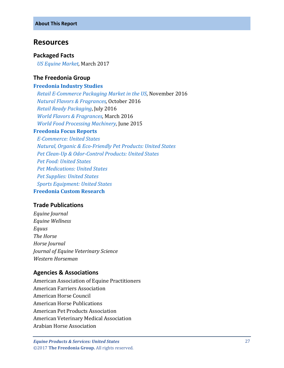## <span id="page-6-0"></span>**Resources**

#### **Packaged Facts**

 *[US Equine Market,](https://www.packagedfacts.com/Equine-Edition-10706833/)* March 2017

### **The Freedonia Group**

#### **[Freedonia Industry Studies](http://www.freedoniagroup.com/Home.aspx?ReferrerId=FL-Focus)**

 *[Retail E-Commerce Packaging Market in the US](http://www.freedoniagroup.com/DocumentDetails.aspx?ReferrerId=FL-FOCUS&studyid=3472)*, November 2016  *[Natural Flavors & Fragrances,](http://www.freedoniagroup.com/DocumentDetails.aspx?ReferrerId=FL-FOCUS&studyid=3476)* October 2016  *[Retail Ready Packaging](http://www.freedoniagroup.com/DocumentDetails.aspx?ReferrerId=FL-FOCUS&studyid=3433)*, July 2016  *[World Flavors & Fragrances,](http://www.freedoniagroup.com/DocumentDetails.aspx?ReferrerId=FL-FOCUS&studyid=3397)* March 2016  *[World Food Processing Machinery,](http://www.freedoniagroup.com/DocumentDetails.aspx?ReferrerId=FL-FOCUS&studyid=3275)* June 2015

#### **[Freedonia Focus Reports](https://www.freedoniafocusreports.com/)**

 *[E-Commerce: United States](https://www.freedoniafocusreports.com/E-Commerce-United-States-10157843/) [Natural, Organic & Eco-Friendly Pet Products: United States](https://www.freedoniafocusreports.com/Natural-Organic-Eco-Friendly-Pet-Products-United-States-10423137/) [Pet Clean-Up & Odor-Control Products: United States](https://www.freedoniafocusreports.com/Pet-Clean-Up-Odor-Control-Products-United-States-10288542/) [Pet Food: United States](https://www.freedoniafocusreports.com/Pet-Food-United-States-10157777/) [Pet Medications: United States](https://www.freedoniafocusreports.com/Pet-Medications-United-States-10157798/) [Pet Supplies: United States](https://www.freedoniafocusreports.com/Pet-Supplies-United-States-10288545/) [Sports Equipment: United States](https://www.freedoniafocusreports.com/Sports-Equipment-United-States-10247084/)* **[Freedonia Custom Research](http://www.freedoniagroup.com/CustomResearch.aspx?ReferrerId=FL-Focus)**

## **Trade Publications**

*Equine Journal Equine Wellness Equus The Horse Horse Journal Journal of Equine Veterinary Science Western Horseman*

## **Agencies & Associations**

American Association of Equine Practitioners American Farriers Association American Horse Council American Horse Publications American Pet Products Association American Veterinary Medical Association Arabian Horse Association